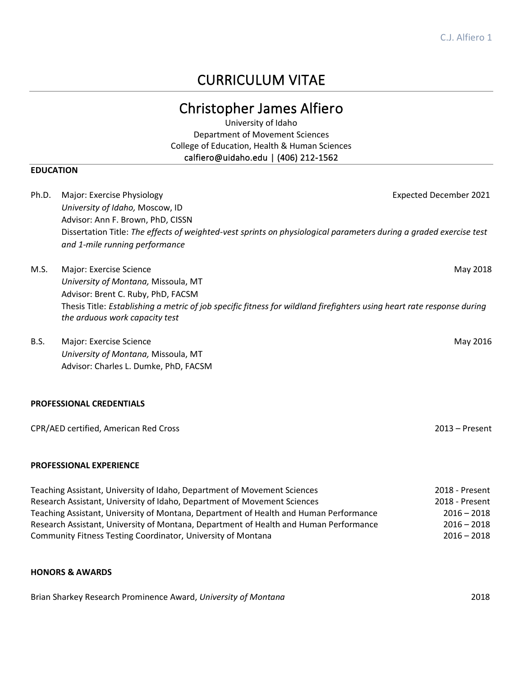# CURRICULUM VITAE

# Christopher James Alfiero

University of Idaho Department of Movement Sciences College of Education, Health & Human Sciences calfiero@uidaho.edu | (406) 212-1562

## **EDUCATION**

| Ph.D.       | Major: Exercise Physiology<br>University of Idaho, Moscow, ID<br>Advisor: Ann F. Brown, PhD, CISSN<br>Dissertation Title: The effects of weighted-vest sprints on physiological parameters during a graded exercise test<br>and 1-mile running performance       | <b>Expected December 2021</b> |
|-------------|------------------------------------------------------------------------------------------------------------------------------------------------------------------------------------------------------------------------------------------------------------------|-------------------------------|
| M.S.        | Major: Exercise Science<br>University of Montana, Missoula, MT<br>Advisor: Brent C. Ruby, PhD, FACSM<br>Thesis Title: Establishing a metric of job specific fitness for wildland firefighters using heart rate response during<br>the arduous work capacity test | May 2018                      |
| <b>B.S.</b> | Major: Exercise Science<br>University of Montana, Missoula, MT<br>Advisor: Charles L. Dumke, PhD, FACSM                                                                                                                                                          | May 2016                      |
|             | <b>PROFESSIONAL CREDENTIALS</b>                                                                                                                                                                                                                                  |                               |
|             | CPR/AED certified, American Red Cross                                                                                                                                                                                                                            | $2013 -$ Present              |

## **PROFESSIONAL EXPERIENCE**

| Teaching Assistant, University of Idaho, Department of Movement Sciences              | 2018 - Present |
|---------------------------------------------------------------------------------------|----------------|
| Research Assistant, University of Idaho, Department of Movement Sciences              | 2018 - Present |
| Teaching Assistant, University of Montana, Department of Health and Human Performance | $2016 - 2018$  |
| Research Assistant, University of Montana, Department of Health and Human Performance | $2016 - 2018$  |
| Community Fitness Testing Coordinator, University of Montana                          | $2016 - 2018$  |

## **HONORS & AWARDS**

Brian Sharkey Research Prominence Award, *University of Montana* 2018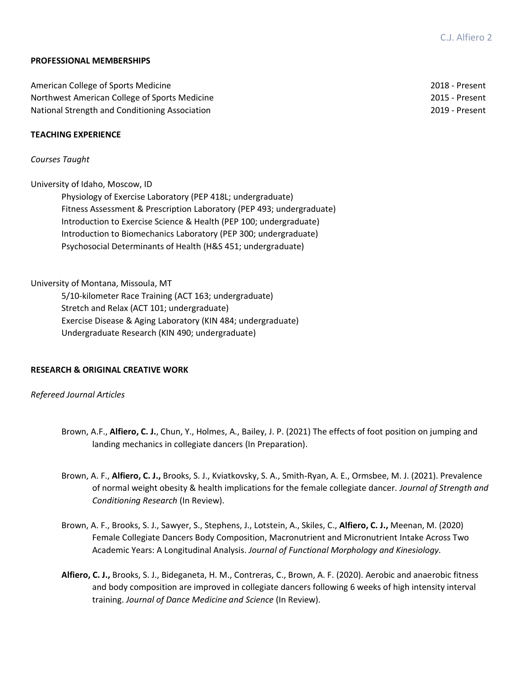## **PROFESSIONAL MEMBERSHIPS**

| American College of Sports Medicine            | 2018 - Present |
|------------------------------------------------|----------------|
| Northwest American College of Sports Medicine  | 2015 - Present |
| National Strength and Conditioning Association | 2019 - Present |

## **TEACHING EXPERIENCE**

## *Courses Taught*

University of Idaho, Moscow, ID

Physiology of Exercise Laboratory (PEP 418L; undergraduate) Fitness Assessment & Prescription Laboratory (PEP 493; undergraduate) Introduction to Exercise Science & Health (PEP 100; undergraduate) Introduction to Biomechanics Laboratory (PEP 300; undergraduate) Psychosocial Determinants of Health (H&S 451; undergraduate)

University of Montana, Missoula, MT

5/10-kilometer Race Training (ACT 163; undergraduate) Stretch and Relax (ACT 101; undergraduate) Exercise Disease & Aging Laboratory (KIN 484; undergraduate) Undergraduate Research (KIN 490; undergraduate)

## **RESEARCH & ORIGINAL CREATIVE WORK**

### *Refereed Journal Articles*

- Brown, A.F., **Alfiero, C. J.**, Chun, Y., Holmes, A., Bailey, J. P. (2021) The effects of foot position on jumping and landing mechanics in collegiate dancers (In Preparation).
- Brown, A. F., **Alfiero, C. J.,** Brooks, S. J., Kviatkovsky, S. A., Smith-Ryan, A. E., Ormsbee, M. J. (2021). Prevalence of normal weight obesity & health implications for the female collegiate dancer. *Journal of Strength and Conditioning Research* (In Review).
- Brown, A. F., Brooks, S. J., Sawyer, S., Stephens, J., Lotstein, A., Skiles, C., **Alfiero, C. J.,** Meenan, M. (2020) Female Collegiate Dancers Body Composition, Macronutrient and Micronutrient Intake Across Two Academic Years: A Longitudinal Analysis. *Journal of Functional Morphology and Kinesiology.*
- **Alfiero, C. J.,** Brooks, S. J., Bideganeta, H. M., Contreras, C., Brown, A. F. (2020). Aerobic and anaerobic fitness and body composition are improved in collegiate dancers following 6 weeks of high intensity interval training. *Journal of Dance Medicine and Science* (In Review).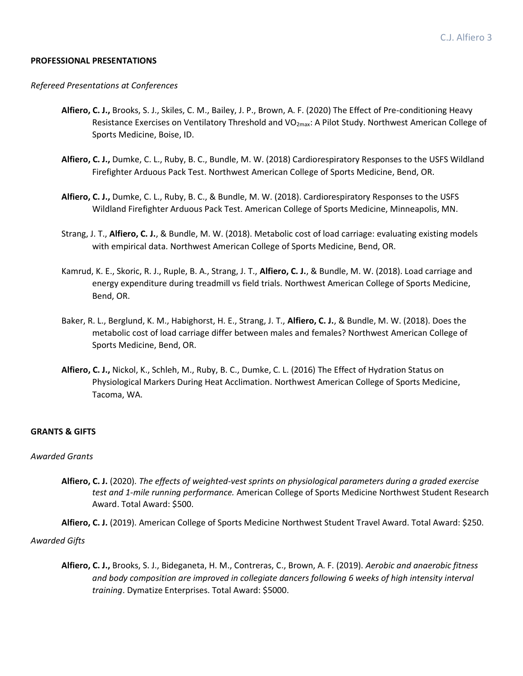### **PROFESSIONAL PRESENTATIONS**

#### *Refereed Presentations at Conferences*

- **Alfiero, C. J.,** Brooks, S. J., Skiles, C. M., Bailey, J. P., Brown, A. F. (2020) The Effect of Pre-conditioning Heavy Resistance Exercises on Ventilatory Threshold and VO<sub>2max</sub>: A Pilot Study. Northwest American College of Sports Medicine, Boise, ID.
- **Alfiero, C. J.,** Dumke, C. L., Ruby, B. C., Bundle, M. W. (2018) Cardiorespiratory Responses to the USFS Wildland Firefighter Arduous Pack Test. Northwest American College of Sports Medicine, Bend, OR.
- **Alfiero, C. J.,** Dumke, C. L., Ruby, B. C., & Bundle, M. W. (2018). Cardiorespiratory Responses to the USFS Wildland Firefighter Arduous Pack Test. American College of Sports Medicine, Minneapolis, MN.
- Strang, J. T., **Alfiero, C. J.**, & Bundle, M. W. (2018). Metabolic cost of load carriage: evaluating existing models with empirical data. Northwest American College of Sports Medicine, Bend, OR.
- Kamrud, K. E., Skoric, R. J., Ruple, B. A., Strang, J. T., **Alfiero, C. J.**, & Bundle, M. W. (2018). Load carriage and energy expenditure during treadmill vs field trials. Northwest American College of Sports Medicine, Bend, OR.
- Baker, R. L., Berglund, K. M., Habighorst, H. E., Strang, J. T., **Alfiero, C. J.**, & Bundle, M. W. (2018). Does the metabolic cost of load carriage differ between males and females? Northwest American College of Sports Medicine, Bend, OR.
- **Alfiero, C. J.,** Nickol, K., Schleh, M., Ruby, B. C., Dumke, C. L. (2016) The Effect of Hydration Status on Physiological Markers During Heat Acclimation. Northwest American College of Sports Medicine, Tacoma, WA.

## **GRANTS & GIFTS**

#### *Awarded Grants*

**Alfiero, C. J.** (2020). *The effects of weighted-vest sprints on physiological parameters during a graded exercise test and 1-mile running performance.* American College of Sports Medicine Northwest Student Research Award. Total Award: \$500.

**Alfiero, C. J.** (2019). American College of Sports Medicine Northwest Student Travel Award. Total Award: \$250.

### *Awarded Gifts*

**Alfiero, C. J.,** Brooks, S. J., Bideganeta, H. M., Contreras, C., Brown, A. F. (2019). *Aerobic and anaerobic fitness and body composition are improved in collegiate dancers following 6 weeks of high intensity interval training*. Dymatize Enterprises. Total Award: \$5000.